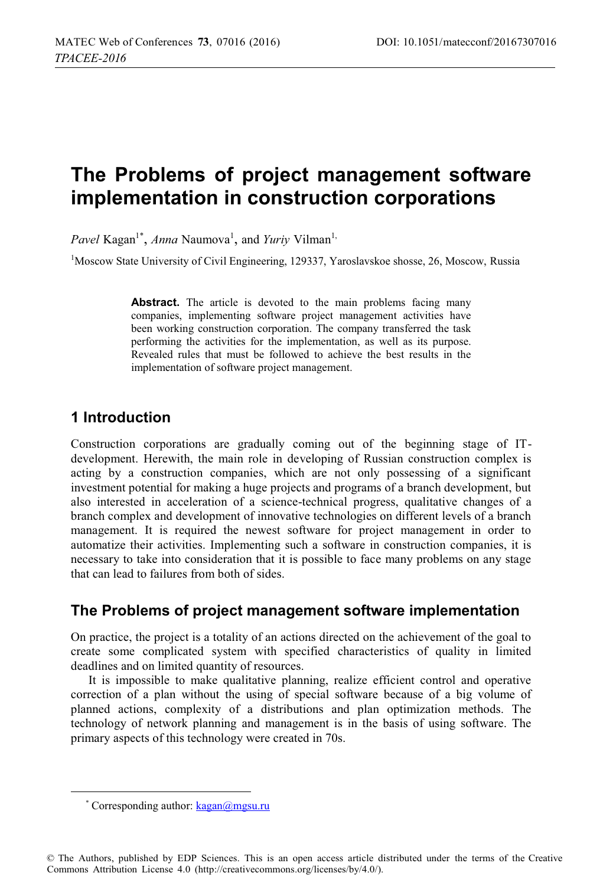# **The Problems of project management software implementation in construction corporations**

*Pavel* Kagan<sup>1\*</sup>, *Anna* Naumova<sup>1</sup>, and *Yuriy* Vilman<sup>1,</sup>

<sup>1</sup>Moscow State University of Civil Engineering, 129337, Yaroslavskoe shosse, 26, Moscow, Russia

**Abstract.** The article is devoted to the main problems facing many companies, implementing software project management activities have been working construction corporation. The company transferred the task performing the activities for the implementation, as well as its purpose. Revealed rules that must be followed to achieve the best results in the implementation of software project management.

## **1 Introduction**

Construction corporations are gradually coming out of the beginning stage of ITdevelopment. Herewith, the main role in developing of Russian construction complex is acting by a construction companies, which are not only possessing of a significant investment potential for making a huge projects and programs of a branch development, but also interested in acceleration of a science-technical progress, qualitative changes of a branch complex and development of innovative technologies on different levels of a branch management. It is required the newest software for project management in order to automatize their activities. Implementing such a software in construction companies, it is necessary to take into consideration that it is possible to face many problems on any stage that can lead to failures from both of sides.

#### **The Problems of project management software implementation**

On practice, the project is a totality of an actions directed on the achievement of the goal to create some complicated system with specified characteristics of quality in limited deadlines and on limited quantity of resources.

It is impossible to make qualitative planning, realize efficient control and operative correction of a plan without the using of special software because of a big volume of planned actions, complexity of a distributions and plan optimization methods. The technology of network planning and management is in the basis of using software. The primary aspects of this technology were created in 70s.

<sup>\*</sup> Corresponding author:  $kagan@mgsu.ru$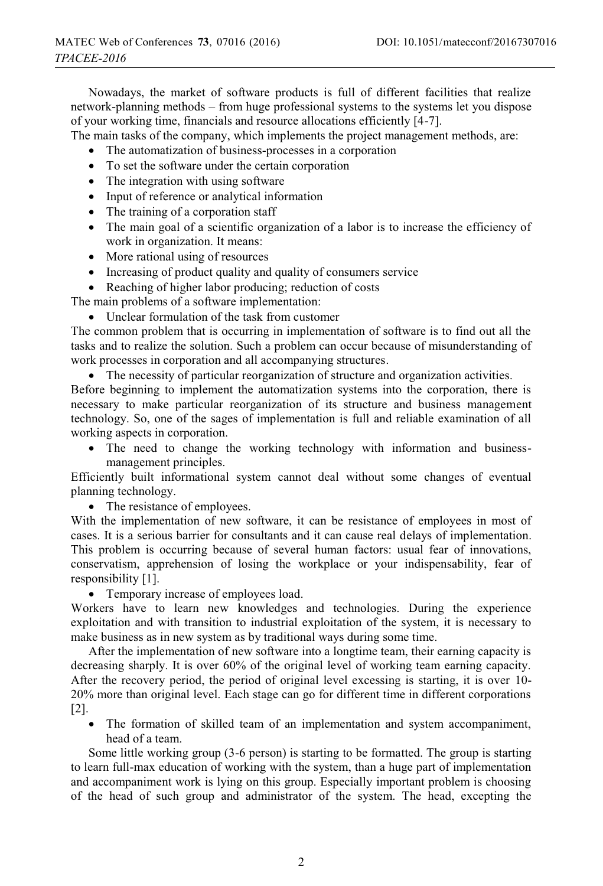Nowadays, the market of software products is full of different facilities that realize network-planning methods – from huge professional systems to the systems let you dispose of your working time, financials and resource allocations efficiently [4-7].

The main tasks of the company, which implements the project management methods, are:

- The automatization of business-processes in a corporation
- To set the software under the certain corporation
- The integration with using software
- Input of reference or analytical information
- The training of a corporation staff
- The main goal of a scientific organization of a labor is to increase the efficiency of work in organization. It means:
- More rational using of resources
- Increasing of product quality and quality of consumers service
- Reaching of higher labor producing; reduction of costs

The main problems of a software implementation:

- Unclear formulation of the task from customer

The common problem that is occurring in implementation of software is to find out all the tasks and to realize the solution. Such a problem can occur because of misunderstanding of work processes in corporation and all accompanying structures.

- The necessity of particular reorganization of structure and organization activities.

Before beginning to implement the automatization systems into the corporation, there is necessary to make particular reorganization of its structure and business management technology. So, one of the sages of implementation is full and reliable examination of all working aspects in corporation.

- The need to change the working technology with information and businessmanagement principles.

Efficiently built informational system cannot deal without some changes of eventual planning technology.

• The resistance of employees.

With the implementation of new software, it can be resistance of employees in most of cases. It is a serious barrier for consultants and it can cause real delays of implementation. This problem is occurring because of several human factors: usual fear of innovations, conservatism, apprehension of losing the workplace or your indispensability, fear of responsibility [1].

- Temporary increase of employees load.

Workers have to learn new knowledges and technologies. During the experience exploitation and with transition to industrial exploitation of the system, it is necessary to make business as in new system as by traditional ways during some time.

After the implementation of new software into a longtime team, their earning capacity is decreasing sharply. It is over 60% of the original level of working team earning capacity. After the recovery period, the period of original level excessing is starting, it is over 10- 20% more than original level. Each stage can go for different time in different corporations [2].

- The formation of skilled team of an implementation and system accompaniment, head of a team.

Some little working group (3-6 person) is starting to be formatted. The group is starting to learn full-max education of working with the system, than a huge part of implementation and accompaniment work is lying on this group. Especially important problem is choosing of the head of such group and administrator of the system. The head, excepting the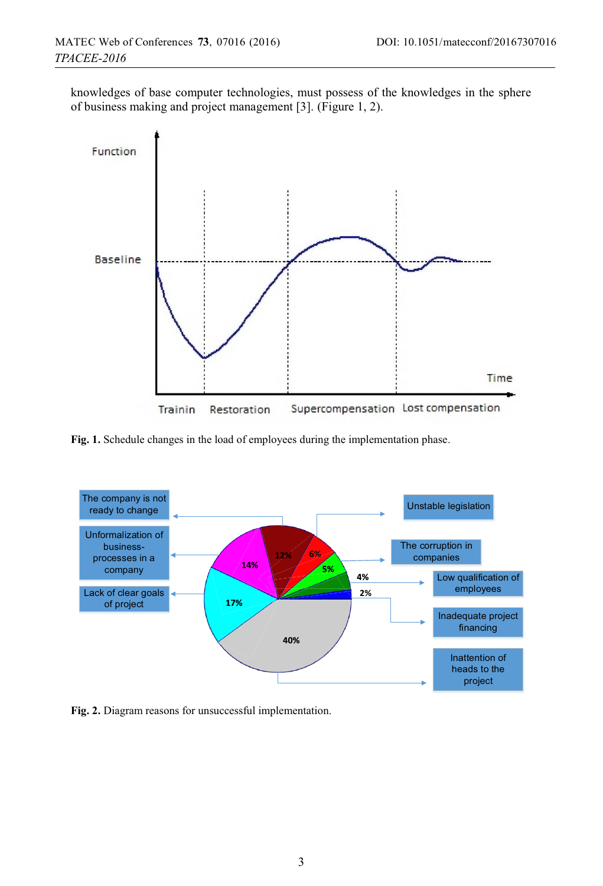knowledges of base computer technologies, must possess of the knowledges in the sphere of business making and project management [3]. (Figure 1, 2).



**Fig. 1.** Schedule changes in the load of employees during the implementation phase.



**Fig. 2.** Diagram reasons for unsuccessful implementation.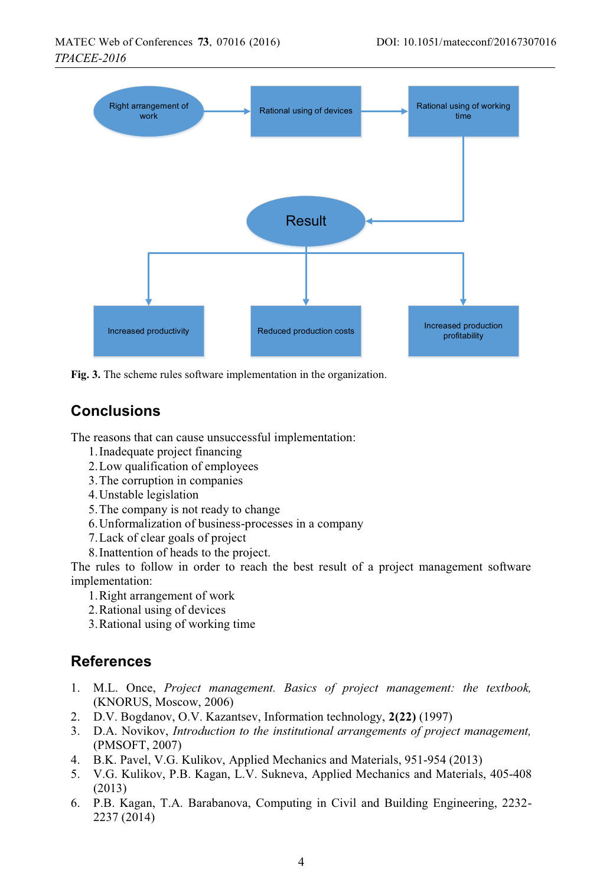

**Fig. 3.** The scheme rules software implementation in the organization.

# **Conclusions**

The reasons that can cause unsuccessful implementation:

- 1.Inadequate project financing
- 2.Low qualification of employees
- 3.The corruption in companies
- 4.Unstable legislation
- 5.The company is not ready to change
- 6.Unformalization of business-processes in a company
- 7.Lack of clear goals of project
- 8.Inattention of heads to the project.

The rules to follow in order to reach the best result of a project management software implementation:

- 1.Right arrangement of work
- 2.Rational using of devices
- 3.Rational using of working time

## **References**

- 1. M.L. Once, *Project management. Basics of project management: the textbook,* (KNORUS, Moscow, 2006)
- 2. D.V. Bogdanov, O.V. Kazantsev, Information technology, **2(22)** (1997)
- 3. D.A. Novikov, *Introduction to the institutional arrangements of project management,* (PMSOFT, 2007)
- 4. B.K. Pavel, V.G. Kulikov, Applied Mechanics and Materials, 951-954 (2013)
- 5. V.G. Kulikov, P.B. Kagan, L.V. Sukneva, Applied Mechanics and Materials, 405-408 (2013)
- 6. P.B. Kagan, T.A. Barabanova, Computing in Civil and Building Engineering, 2232- 2237 (2014)